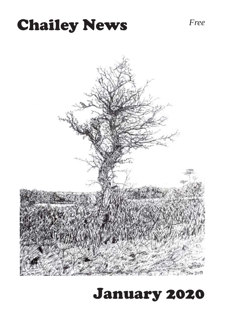# **Chailey News** *Free*



# January 2020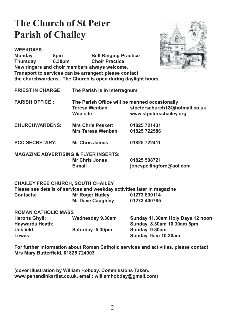## **The Church of St Peter Parish of Chailey**



**WEEKDAYS Monday 8pm Bell Ringing Practice Thursday 6.30pm Choir Practice New ringers and choir members always welcome. Transport to services can be arranged: please contact the churchwardens. The Church is open during daylight hours.**

**PRIEST IN CHARGE: The Parish is in Interregnum**

- **PARISH OFFICE : The Parish Office will be manned occasionally Teresa Wenban stpeterschurch12@hotmail.co.uk** Web site **WED** www.stpeterschailey.org
- **CHURCHWARDENS: Mrs Chris Peskett 01825 721431 Mrs Teresa Wenban 01825 722586**
- PCC SECRETARY: Mr Chris James 01825 722411

**MAGAZINE ADVERTISING & FLYER INSERTS: Mr Chris Jones 01825 508721**

 **E-mail jonespellingford@aol.com** 

#### **CHAILEY FREE CHURCH, SOUTH CHAILEY**

**Please see details of services and weekday activities later in magazine Contacts: Mr Roger Nutley 01273 890114 Mr Dave Caughley 01273 400785** 

| <b>ROMAN CATHOLIC MASS</b> |                  |                                  |
|----------------------------|------------------|----------------------------------|
| <b>Herons Ghyll:</b>       | Wednesday 9.30am | Sunday 11.30am Holy Days 12 noon |
| <b>Haywards Heath:</b>     |                  | Sunday 8.30am 10.30am 5pm        |
| Uckfield:                  | Saturday 5.30pm  | Sunday 9.30am                    |
| Lewes:                     |                  | Sunday 9am 10.30am               |

**For further information about Roman Catholic services and activities, please contact Mrs Mary Butterfield, 01825 724003** 

**(cover illustration by William Hobday. Commissions Taken. www.penandinkartist.co.uk. email: williamhobday@gmail.com)**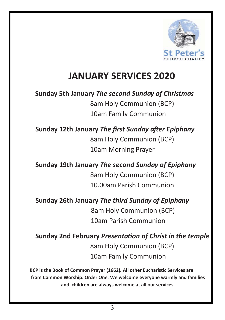

## **JANUARY SERVICES 2020**

**Sunday 5th January** *The second Sunday of Christmas*  8am Holy Communion (BCP) 10am Family Communion

#### **Sunday** 12th January *The first Sunday after Epiphany* 8am Holy Communion (BCP) 10am Morning Prayer

**Sunday 19th January** *The second Sunday of Epiphany*  8am Holy Communion (BCP) 10.00am Parish Communion

**Sunday 26th January** *The third Sunday of Epiphany* 

8am Holy Communion (BCP) 10am Parish Communion

**Sunday 2nd February** *PresentaƟon of Christ in the temple*  8am Holy Communion (BCP) 10am Family Communion

**BCP is the Book of Common Prayer (1662)***.* **All other EucharisƟc Services are from Common Worship: Order One***.* **We welcome everyone warmly and families andchildren are always welcome at all our services.**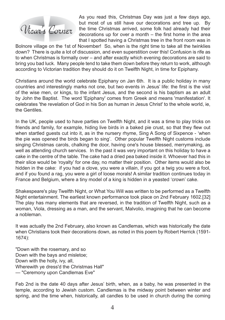

As you read this, Christmas Day was just a few days ago, but most of us still have our decorations and tree up. By the time Christmas arrived, some folk had already had their decorations up for over a month  $-$  the first home in the area that I spotted having a Christmas tree in the front room was in

Bolnore village on the 1st of November! So, when is the right time to take all the twinklies down? There is quite a lot of discussion, and even superstition over this! Confusion is rife as to when Christmas is formally over – and after exactly which evening decorations are said to bring you bad luck. Many people tend to take them down before they return to work, although according to Victorian tradition they should do it on Twelfth Night, in time for Epiphany.

Christians around the world celebrate Epiphany on Jan 6th. It is a public holiday in many countries and interestingly marks not one, but two events in Jesus' life; the first is the visit of the wise men, or kings, to the infant Jesus, and the second is his baptism as an adult by John the Baptist. The word 'Epiphany' comes from Greek and means 'manifestation'. It celebrates 'the revelation of God in his Son as human in Jesus Christ' to the whole world, ie, the Gentiles.

In the UK, people used to have parties on Twelfth Night, and it was a time to play tricks on friends and family, for example, hiding live birds in a baked pie crust, so that they flew out when startled guests cut into it, as in the nursery rhyme, Sing A Song of Sixpence - 'when the pie was opened the birds began to sing'. Other popular Twelfth Night customs include singing Christmas carols, chalking the door, having one's house blessed, merrymaking, as well as attending church services. In the past it was very important on this holiday to have a cake in the centre of the table. The cake had a dried pea baked inside it. Whoever had this in their slice would be 'royalty' for one day, no matter their position. Other items would also be hidden in the cake: if you had a clove, you were a villain, if you got a twig you were a fool, and if you found a rag, you were a girl of loose morals! A similar tradition continues today in France and Belgium, where a tiny model of a king is hidden in a yeasted 'crown' cake.

Shakespeare's play Twelfth Night, or What You Will was written to be performed as a Twelfth Night entertainment. The earliest known performance took place on 2nd February 1602.[32] The play has many elements that are reversed, in the tradition of Twelfth Night, such as a woman, Viola, dressing as a man, and the servant, Malvolio, imagining that he can become a nobleman.

It was actually the 2nd February, also known as Candlemas, which was historically the date when Christians took their decorations down, as noted in this poem by Robert Herrick (1591- 1674):

"Down with the rosemary, and so Down with the bays and misletoe; Down with the holly, ivy, all, Wherewith ye dress'd the Christmas Hall" — "Ceremony upon Candlemas Eve"

Feb 2nd is the date 40 days after Jesus' birth, when, as a baby, he was presented in the temple, according to Jewish custom. Candlemas is the midway point between winter and spring, and the time when, historically, all candles to be used in church during the coming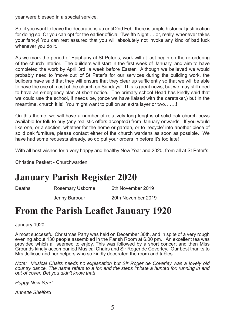year were blessed in a special service.

So, if you want to leave the decorations up until 2nd Feb, there is ample historical justification for doing so! Or you can opt for the earlier official 'Twelfth Night'....or, really, whenever takes your fancy! You can rest assured that you will absolutely not invoke any kind of bad luck whenever you do it.

As we mark the period of Epiphany at St Peter's, work will at last begin on the re-ordering of the church interior. The builders will start in the first week of January, and aim to have completed the work by April 3rd, a week before Easter. Although we believed we would probably need to 'move out' of St Peter's for our services during the building work, the builders have said that they will ensure that they clear up sufficiently so that we will be able to have the use of most of the church on Sundays! This is great news, but we may still need to have an emergency plan at short notice. The primary school Head has kindly said that we could use the school, if needs be, (once we have liaised with the caretaker,) but in the meantime, church it is! You might want to pull on an extra layer or two.......!

On this theme, we will have a number of relatively long lengths of solid oak church pews available for folk to buy (any realistic offers accepted) from January onwards. If you would like one, or a section, whether for the home or garden, or to 'recycle' into another piece of solid oak furniture, please contact either of the church wardens as soon as possible. We have had some requests already, so do put your orders in before it's too late!

With all best wishes for a very happy and healthy New Year and 2020, from all at St Peter's.

Christine Peskett - Churchwarden

#### **January Parish Register 2020**

Deaths Rosemary Usborne 6th November 2019

Jenny Barbour 20th November 2019

#### **From the Parish Leaflet January 1920**

January 1920

A most successful Christmas Party was held on December 30th, and in spite of a very rough evening about 130 people assembled in the Parish Room at 6.00 pm. An excellent tea was provided which all seemed to enjoy. This was followed by a short concert and then Miss Grounds kindly accompanied Musical Chairs and Sir Roger de Coverley. Our best thanks to Mrs Jellicoe and her helpers who so kindly decorated the room and tables.

*Note: Musical Chairs needs no explanation but Sir Roger de Coverley was a lovely old country dance. The name refers to a fox and the steps imitate a hunted fox running in and out of cover. Bet you didn't know that!* 

*Happy New Year!* 

*Annette Shelford*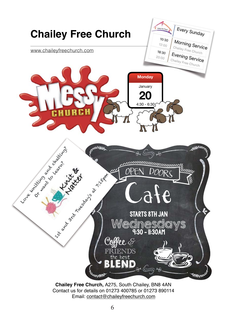

6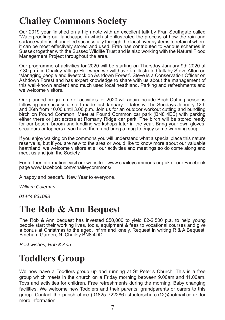# **Chailey Commons Society**

Our 2019 year finished on a high note with an excellent talk by Fran Southgate called 'Waterproofing our landscape' in which she illustrated the process of how the rain and surface water is channelled successfully through the local river systems to retain it where it can be most effectively stored and used. Fran has contributed to various schemes in Sussex together with the Sussex Wildlife Trust and is also working with the Natural Flood Management Project throughout the area.

Our programme of activities for 2020 will be starting on Thursday January 9th 2020 at 7.30.p.m. in Chailey Village Hall when we will have an illustrated talk by Steve Alton on 'Managing people and livestock on Ashdown Forest'. Steve is a Conservation Officer on Ashdown Forest and has expert knowledge to share with us about the management of this well-known ancient and much used local heathland. Parking and refreshments and we welcome visitors.

Our planned programme of activities for 2020 will again include Birch Cutting sessions following our successful start made last January – dates will be Sundays January 12th and 26th from 10.00 until 3.00.p.m. Join us for an outdoor workout cutting and bundling birch on Pound Common. Meet at Pound Common car park (BN8 4EB) with parking either there or just across at Romany Ridge car park. The birch will be stored ready for our besom broom and kindling workshops later in the year. Bring your own gloves, secateurs or loppers if you have them and bring a mug to enjoy some warming soup.

If you enjoy walking on the commons you will understand what a special place this nature reserve is, but if you are new to the area or would like to know more about our valuable heathland, we welcome visitors at all our activities and meetings so do come along and meet us and join the Society.

For further information, visit our website – www.chaileycommons.org.uk or our Facebook page www.facebook.com/chaileycommons/

A happy and peaceful New Year to everyone.

*William Coleman*

*01444 831098*

#### **The Rob & Ann Bequest**

The Rob & Ann bequest has invested £50,000 to yield £2-2,500 p.a. to help young people start their working lives, tools, equipment & fees to vocational courses and give a bonus at Christmas to the aged, infirm and lonely. Request in writing  $R$  & A Bequest, Bineham Garden, N. Chailey BN8 4DD

*Best wishes, Rob & Ann*

## **Toddlers Group**

We now have a Toddlers group up and running at St Peter's Church. This is a free group which meets in the church on a Friday morning between 9.00am and 11.00am. Toys and activities for children. Free refreshments during the morning. Baby changing facilities. We welcome new Toddlers and their parents, grandparents or carers to this group. Contact the parish office (01825 722286) stpeterschurch12@hotmail.co.uk for more information.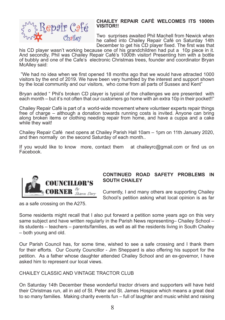

#### **CHAILEY REPAIR CAFÉ WELCOMES ITS 1000th VISITOR!!**

Two surprises awaited Phil Machell from Newick when he called into Chailey Repair Café on Saturday 14th December to get his CD player fixed. The first was that

his CD player wasn't working because one of his grandchildren had put a 10p piece in it. And secondly, Phil was Chailey Repair Café's 1000th visitor! Presenting him with a bottle of bubbly and one of the Cafe's electronic Christmas trees, founder and coordinator Bryan McAlley said:

"We had no idea when we first opened 18 months ago that we would have attracted 1000 visitors by the end of 2019. We have been very humbled by the interest and support shown by the local community and our visitors, who come from all parts of Sussex and Kent"

Bryan added " Phil's broken CD player is typical of the challenges we are presented with each month – but it's not often that our customers go home with an extra 10p in their pocket!!"

Chailey Repair Café is part of a world-wide movement where volunteer experts repair things free of charge – although a donation towards running costs is invited. Anyone can bring along broken items or clothing needing repair from home, and have a cuppa and a cake while they wait!

Chailey Repair Café next opens at Chailey Parish Hall 10am – 1pm on 11th January 2020, and then normally on the second Saturday of each month..

If you would like to know more, contact them at chaileyrc@gmail.com or find us on Facebook.



#### **CONTINUED ROAD SAFETY PROBLEMS IN SOUTH CHAILEY**

Currently, I and many others are supporting Chailey School's petition asking what local opinion is as far

as a safe crossing on the A275.

Some residents might recall that I also put forward a petition some years ago on this very same subject and have written regularly in the Parish News representing– Chailey School – its students – teachers – parents/families, as well as all the residents living in South Chailey – both young and old.

Our Parish Council has, for some time, wished to see a safe crossing and I thank them for their efforts. Our County Councillor - Jim Sheppard is also offering his support for the petition. As a father whose daughter attended Chailey School and an ex-governor, I have asked him to represent our local views.

#### CHAILEY CLASSIC AND VINTAGE TRACTOR CLUB

On Saturday 14th December these wonderful tractor drivers and supporters will have held their Christmas run, all in aid of St. Peter and St. James Hospice which means a great deal to so many families. Making charity events fun – full of laughter and music whilst and raising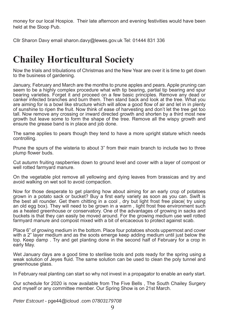money for our local Hospice. Their late afternoon and evening festivities would have been held at the Sloop Pub.

Cllr Sharon Davy email sharon.davy@lewes.gov.uk Tel: 01444 831 336

#### **Chailey Horticultural Society**

Now the trials and tribulations of Christmas and the New Year are over it is time to get down to the business of gardening.

January, February and March are the months to prune apples and pears. Apple pruning can seem to be a highly complex procedure what with tip bearing, partial tip bearing and spur bearing varieties. Forget it and proceed on a few basic principles. Remove any dead or canker infected branches and burn them. Then stand back and look at the tree. What you are aiming for is a bowl like structure which will allow a good flow of air and let in in plenty of sunshine to ripen the fruit. Now think of ease of harvesting and don't let the tree get too tall. Now remove any crossing or inward directed growth and shorten by a third most new growth but leave some to form the shape of the tree. Remove all the wispy growth and ensure the grease band is in place and job done.

The same applies to pears though they tend to have a more upright stature which needs controlling.

Prune the spurs of the wisteria to about 3" from their main branch to include two to three plump flower buds.

Cut autumn fruiting raspberries down to ground level and cover with a layer of compost or well rotted farmyard manure.

On the vegetable plot remove all yellowing and dying leaves from brassicas and try and avoid walking on wet soil to avoid compaction.

Now for those desperate to get planting how about aiming for an early crop of potatoes grown in a potato sack or bucket? Buy a first early variety as soon as you can. Swift is the best all rounder. Get them chitting in a cool , dry but light frost free place( try using an old egg box). They will need to be grown in a warm , light frost free environment such as a heated greenhouse or conservatory. One of the advantages of growing in sacks and buckets is that they can easily be moved around. For the growing medium use well rotted farmyard manure and compost mixed with a bit of ericaceous to protect against scab.

Place 6" of growing medium in the bottom. Place four potatoes shoots uppermost and cover with a 2" layer medium and as the soots emerge keep adding medium until just below the top. Keep damp . Try and get planting done in the second half of February for a crop in early May.

Wet January days are a good time to sterilise tools and pots ready for the spring using a weak solution of Jeyes fluid. The same solution can be used to clean the poly tunnel and greenhouse glass.

In February real planting can start so why not invest in a propagator to enable an early start.

Our schedule for 2020 is now available from The Five Bells , The South Chailey Surgery and myself or any committee member. Our Spring Show is on 21st March.

*Peter Estcourt* - pge44@icloud .com *07803179708*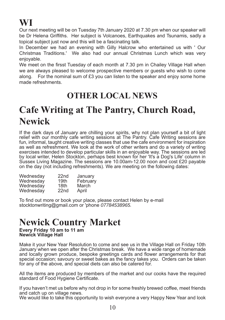# **WI**

Our next meeting will be on Tuesday 7th January 2020 at 7.30 pm when our speaker will be Dr Helena Griffiths. Her subject is Volcanoes, Earthquakes and Tsunamis, sadly a topical subject just now and this will be a fascinating talk.

In December we had an evening with Gilly Halcrow who entertained us with ' Our Christmas Traditions.' We also had our annual Christmas Lunch which was very enjoyable.

We meet on the firsst Tuesday of each month at 7.30 pm in Chailey Village Hall when we are always pleased to welcome prospective members or guests who wish to come along. For the nominal sum of £3 you can listen to the speaker and enjoy some home made refreshments.

#### **OTHER LOCAL NEWS**

# **Cafe Writing at The Pantry, Church Road, Newick**

If the dark days of January are chilling your spirits, why not plan yourself a bit of light relief with our monthly cafe writing sessions at The Pantry. Cafe Writing sessions are fun, informal, taught creative writing classes that use the cafe environment for inspiration as well as refreshment. We look at the work of other writers and do a variety of writing exercises intended to develop particular skills in an enjoyable way. The sessions are led by local writer, Helen Stockton, perhaps best known for her 'It's a Dog's Life' column in Sussex Living Magazine. The sessions are 10.00am-12.00 noon and cost £20 payable on the day (not including refreshments). We are meeting on the following dates:

| Wednesday | 22 <sub>nd</sub> | January  |
|-----------|------------------|----------|
| Wednesday | 19th             | February |
| Wednesday | 18th             | March    |
| Wednesday | 22 <sub>nd</sub> | April    |

To find out more or book your place, please contact Helen by e-mail stocktonwriting@gmail.com or 'phone *07784538965.*

#### **Newick Country Market**

**Every Friday 10 am to 11 am Newick Village Hall**

Make it your New Year Resolution to come and see us in the Village Hall on Friday 10th January when we open after the Christmas break. We have a wide range of homemade and locally grown produce, bespoke greetings cards and flower arrangements for that special occasion; savoury or sweet bakes as the fancy takes you. Orders can be taken for any of the above, and special diets can also be catered for.

All the items are produced by members of the market and our cooks have the required standard of Food Hygiene Certificate.

If you haven't met us before why not drop in for some freshly brewed coffee, meet friends and catch up on village news.

We would like to take this opportunity to wish everyone a very Happy New Year and look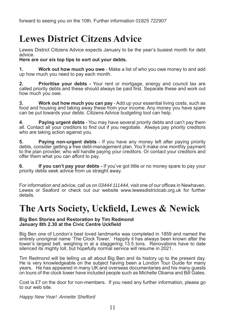forward to seeing you on the 10th. Further information *01825 722907*

### **Lewes District Citzens Advice**

Lewes District Citizens Advice expects January to be the year's busiest month for debt advice.

**Here are our six top tips to sort out your debts.**

**1. Work out how much you owe** - Make a list of who you owe money to and add up how much you need to pay each month.

**2. Prioritise your debts -** Your rent or mortgage, energy and council tax are called priority debts and these should always be paid first. Separate these and work out how much you owe.

**3. Work out how much you can pay** - Add up your essential living costs, such as food and housing and taking away these from your income. Any money you have spare can be put towards your debts. Citizens Advice budgeting tool can help.

**4. Paying urgent debts** - You may have several priority debts and can't pay them all. Contact all your creditors to find out if you negotiate. Always pay priority creditors who are taking action against you.

**5. Paying non-urgent debts** - If you have any money left after paying priority debts, consider getting a free debt-management plan. You'll make one monthly payment to the plan provider, who will handle paying your creditors. Or contact your creditors and offer them what you can afford to pay.

**6. If you can't pay your debts -** If you've got little or no money spare to pay your priority debts seek advice from us straight away.

For information and advice, call us on 03444 111444, visit one of our offices in Newhaven, Lewes or Seaford or check out our website www.lewesdistrictcab.org.uk for further details.

#### **The Arts Society, Uckfield, Lewes & Newick**

#### **Big Ben Stories and Restoration by Tim Redmond January 8th 2.30 at the Civic Centre Uckfield**

Big Ben one of London's best loved landmarks was completed in 1859 and named the entirely unoriginal name 'The Clock Tower.' Happily it has always been known after the tower's largest bell, weighing in at a staggering 13.5 tons. Renovations have to date silenced its mighty toll, but hopefully normal service will resume in 2021.

Tim Redmond will be telling us all about Big Ben and its history up to the present day. He is very knowledgeable on the subject having been a London Tour Guide for many years. He has appeared in many UK and overseas documentaries and his many guests on tours of the clock tower have included people such as Michelle Obama and Bill Gates.

Cost is £7 on the door for non-members. If you need any further information, please go to our web site.

*Happy New Year! Annette Shelford*